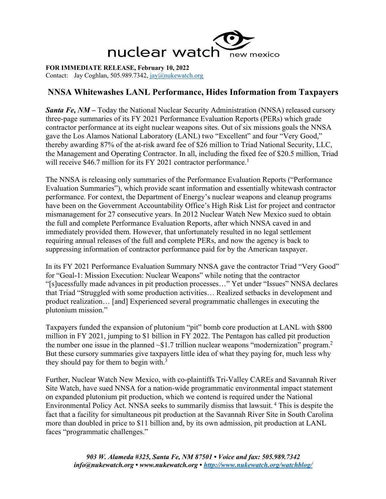

**FOR IMMEDIATE RELEASE, February 10, 2022** Contact: Jay Coghlan, 505.989.7342, jay@nukewatch.org

## **NNSA Whitewashes LANL Performance, Hides Information from Taxpayers**

*Santa Fe, NM* – Today the National Nuclear Security Administration (NNSA) released cursory three-page summaries of its FY 2021 Performance Evaluation Reports (PERs) which grade contractor performance at its eight nuclear weapons sites. Out of six missions goals the NNSA gave the Los Alamos National Laboratory (LANL) two "Excellent" and four "Very Good," thereby awarding 87% of the at-risk award fee of \$26 million to Triad National Security, LLC, the Management and Operating Contractor. In all, including the fixed fee of \$20.5 million, Triad will receive \$46.7 million for its FY 2021 contractor performance.<sup>1</sup>

The NNSA is releasing only summaries of the Performance Evaluation Reports ("Performance Evaluation Summaries"), which provide scant information and essentially whitewash contractor performance. For context, the Department of Energy's nuclear weapons and cleanup programs have been on the Government Accountability Office's High Risk List for project and contractor mismanagement for 27 consecutive years. In 2012 Nuclear Watch New Mexico sued to obtain the full and complete Performance Evaluation Reports, after which NNSA caved in and immediately provided them. However, that unfortunately resulted in no legal settlement requiring annual releases of the full and complete PERs, and now the agency is back to suppressing information of contractor performance paid for by the American taxpayer.

In its FY 2021 Performance Evaluation Summary NNSA gave the contractor Triad "Very Good" for "Goal-1: Mission Execution: Nuclear Weapons" while noting that the contractor "[s]ucessfully made advances in pit production processes…" Yet under "Issues" NNSA declares that Triad "Struggled with some production activities… Realized setbacks in development and product realization… [and] Experienced several programmatic challenges in executing the plutonium mission."

Taxpayers funded the expansion of plutonium "pit" bomb core production at LANL with \$800 million in FY 2021, jumping to \$1 billion in FY 2022. The Pentagon has called pit production the number one issue in the planned  $\sim$ \$1.7 trillion nuclear weapons "modernization" program.<sup>2</sup> But these cursory summaries give taxpayers little idea of what they paying for, much less why they should pay for them to begin with.<sup>3</sup>

Further, Nuclear Watch New Mexico, with co-plaintiffs Tri-Valley CAREs and Savannah River Site Watch, have sued NNSA for a nation-wide programmatic environmental impact statement on expanded plutonium pit production, which we contend is required under the National Environmental Policy Act. NNSA seeks to summarily dismiss that lawsuit. <sup>4</sup> This is despite the fact that a facility for simultaneous pit production at the Savannah River Site in South Carolina more than doubled in price to \$11 billion and, by its own admission, pit production at LANL faces "programmatic challenges."